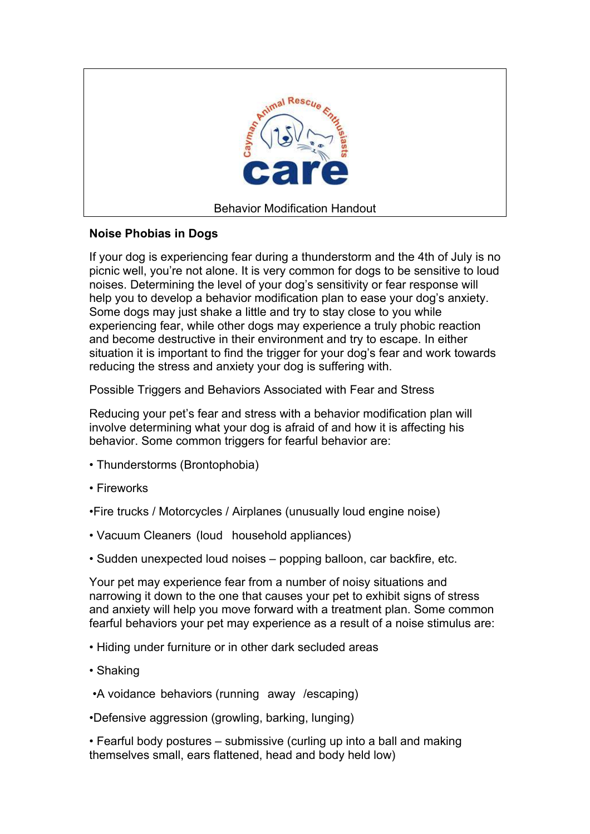

# **Noise Phobias in Dogs**

If your dog is experiencing fear during a thunderstorm and the 4th of July is no picnic well, you're not alone. It is very common for dogs to be sensitive to loud noises. Determining the level of your dog's sensitivity or fear response will help you to develop a behavior modification plan to ease your dog's anxiety. Some dogs may just shake a little and try to stay close to you while experiencing fear, while other dogs may experience a truly phobic reaction and become destructive in their environment and try to escape. In either situation it is important to find the trigger for your dog's fear and work towards reducing the stress and anxiety your dog is suffering with.

Possible Triggers and Behaviors Associated with Fear and Stress

Reducing your pet's fear and stress with a behavior modification plan will involve determining what your dog is afraid of and how it is affecting his behavior. Some common triggers for fearful behavior are:

- Thunderstorms (Brontophobia)
- Fireworks

•Fire trucks / Motorcycles / Airplanes (unusually loud engine noise)

- Vacuum Cleaners (loud household appliances)
- Sudden unexpected loud noises popping balloon, car backfire, etc.

Your pet may experience fear from a number of noisy situations and narrowing it down to the one that causes your pet to exhibit signs of stress and anxiety will help you move forward with a treatment plan. Some common fearful behaviors your pet may experience as a result of a noise stimulus are:

- Hiding under furniture or in other dark secluded areas
- Shaking
- •A voidance behaviors (running away /escaping)

•Defensive aggression (growling, barking, lunging)

• Fearful body postures – submissive (curling up into a ball and making themselves small, ears flattened, head and body held low)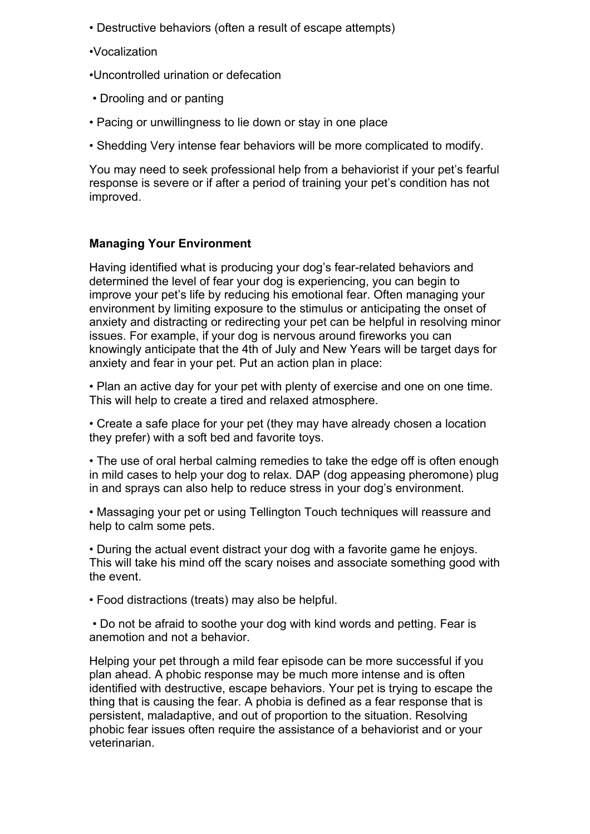• Destructive behaviors (often a result of escape attempts)

•Vocalization

•Uncontrolled urination or defecation

- Drooling and or panting
- Pacing or unwillingness to lie down or stay in one place
- Shedding Very intense fear behaviors will be more complicated to modify.

You may need to seek professional help from a behaviorist if your pet's fearful response is severe or if after a period of training your pet's condition has not improved.

# **Managing Your Environment**

Having identified what is producing your dog's fear-related behaviors and determined the level of fear your dog is experiencing, you can begin to improve your pet's life by reducing his emotional fear. Often managing your environment by limiting exposure to the stimulus or anticipating the onset of anxiety and distracting or redirecting your pet can be helpful in resolving minor issues. For example, if your dog is nervous around fireworks you can knowingly anticipate that the 4th of July and New Years will be target days for anxiety and fear in your pet. Put an action plan in place:

• Plan an active day for your pet with plenty of exercise and one on one time. This will help to create a tired and relaxed atmosphere.

• Create a safe place for your pet (they may have already chosen a location they prefer) with a soft bed and favorite toys.

• The use of oral herbal calming remedies to take the edge off is often enough in mild cases to help your dog to relax. DAP (dog appeasing pheromone) plug in and sprays can also help to reduce stress in your dog's environment.

• Massaging your pet or using Tellington Touch techniques will reassure and help to calm some pets.

• During the actual event distract your dog with a favorite game he enjoys. This will take his mind off the scary noises and associate something good with the event.

• Food distractions (treats) may also be helpful.

 • Do not be afraid to soothe your dog with kind words and petting. Fear is anemotion and not a behavior.

Helping your pet through a mild fear episode can be more successful if you plan ahead. A phobic response may be much more intense and is often identified with destructive, escape behaviors. Your pet is trying to escape the thing that is causing the fear. A phobia is defined as a fear response that is persistent, maladaptive, and out of proportion to the situation. Resolving phobic fear issues often require the assistance of a behaviorist and or your veterinarian.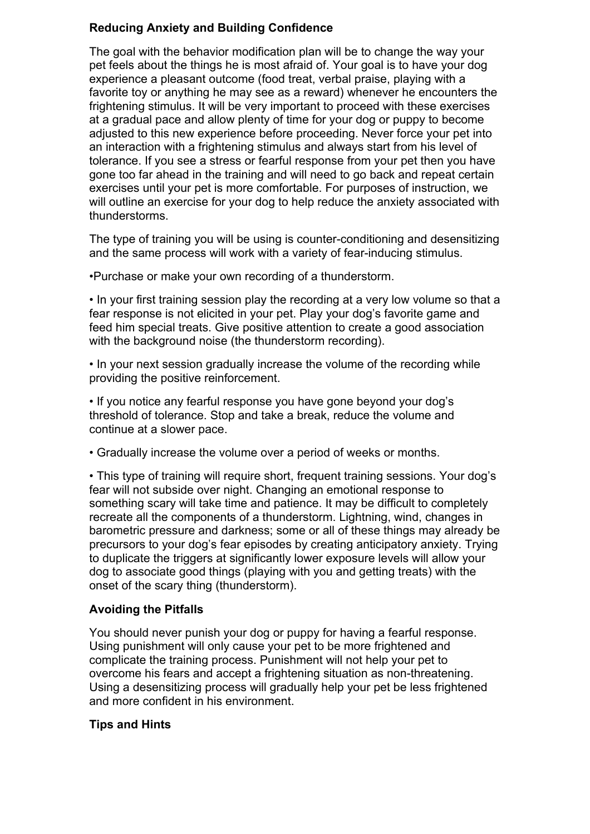# **Reducing Anxiety and Building Confidence**

The goal with the behavior modification plan will be to change the way your pet feels about the things he is most afraid of. Your goal is to have your dog experience a pleasant outcome (food treat, verbal praise, playing with a favorite toy or anything he may see as a reward) whenever he encounters the frightening stimulus. It will be very important to proceed with these exercises at a gradual pace and allow plenty of time for your dog or puppy to become adjusted to this new experience before proceeding. Never force your pet into an interaction with a frightening stimulus and always start from his level of tolerance. If you see a stress or fearful response from your pet then you have gone too far ahead in the training and will need to go back and repeat certain exercises until your pet is more comfortable. For purposes of instruction, we will outline an exercise for your dog to help reduce the anxiety associated with thunderstorms.

The type of training you will be using is counter-conditioning and desensitizing and the same process will work with a variety of fear-inducing stimulus.

•Purchase or make your own recording of a thunderstorm.

• In your first training session play the recording at a very low volume so that a fear response is not elicited in your pet. Play your dog's favorite game and feed him special treats. Give positive attention to create a good association with the background noise (the thunderstorm recording).

• In your next session gradually increase the volume of the recording while providing the positive reinforcement.

• If you notice any fearful response you have gone beyond your dog's threshold of tolerance. Stop and take a break, reduce the volume and continue at a slower pace.

• Gradually increase the volume over a period of weeks or months.

• This type of training will require short, frequent training sessions. Your dog's fear will not subside over night. Changing an emotional response to something scary will take time and patience. It may be difficult to completely recreate all the components of a thunderstorm. Lightning, wind, changes in barometric pressure and darkness; some or all of these things may already be precursors to your dog's fear episodes by creating anticipatory anxiety. Trying to duplicate the triggers at significantly lower exposure levels will allow your dog to associate good things (playing with you and getting treats) with the onset of the scary thing (thunderstorm).

# **Avoiding the Pitfalls**

You should never punish your dog or puppy for having a fearful response. Using punishment will only cause your pet to be more frightened and complicate the training process. Punishment will not help your pet to overcome his fears and accept a frightening situation as non-threatening. Using a desensitizing process will gradually help your pet be less frightened and more confident in his environment.

# **Tips and Hints**